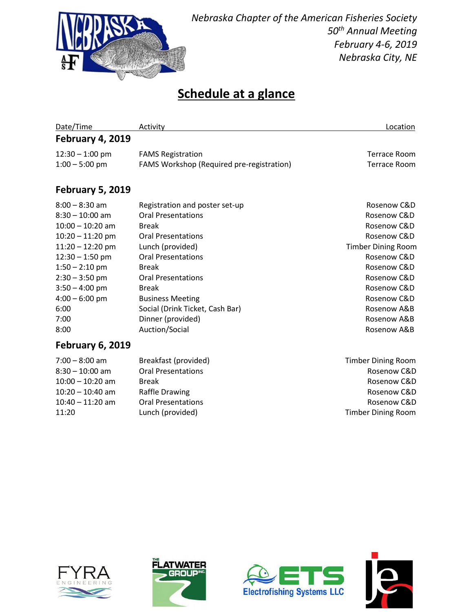

### **Schedule at a glance**

| Date/Time               | Activity                                  | Location                  |
|-------------------------|-------------------------------------------|---------------------------|
| <b>February 4, 2019</b> |                                           |                           |
| $12:30 - 1:00$ pm       | <b>FAMS Registration</b>                  | Terrace Room              |
| $1:00 - 5:00$ pm        | FAMS Workshop (Required pre-registration) | Terrace Room              |
| <b>February 5, 2019</b> |                                           |                           |
| $8:00 - 8:30$ am        | Registration and poster set-up            | Rosenow C&D               |
| $8:30 - 10:00$ am       | <b>Oral Presentations</b>                 | Rosenow C&D               |
| $10:00 - 10:20$ am      | <b>Break</b>                              | Rosenow C&D               |
| $10:20 - 11:20$ pm      | <b>Oral Presentations</b>                 | Rosenow C&D               |
| $11:20 - 12:20$ pm      | Lunch (provided)                          | <b>Timber Dining Room</b> |
| $12:30 - 1:50$ pm       | <b>Oral Presentations</b>                 | Rosenow C&D               |
| $1:50 - 2:10$ pm        | <b>Break</b>                              | Rosenow C&D               |
| $2:30 - 3:50$ pm        | <b>Oral Presentations</b>                 | Rosenow C&D               |
| $3:50 - 4:00$ pm        | <b>Break</b>                              | Rosenow C&D               |
| $4:00 - 6:00$ pm        | <b>Business Meeting</b>                   | Rosenow C&D               |
| 6:00                    | Social (Drink Ticket, Cash Bar)           | Rosenow A&B               |
| 7:00                    | Dinner (provided)                         | Rosenow A&B               |
| 8:00                    | Auction/Social                            | Rosenow A&B               |
| <b>February 6, 2019</b> |                                           |                           |
| $7:00 - 8:00$ am        | Breakfast (provided)                      | <b>Timber Dining Room</b> |
| $8:30 - 10:00$ am       | <b>Oral Presentations</b>                 | Rosenow C&D               |









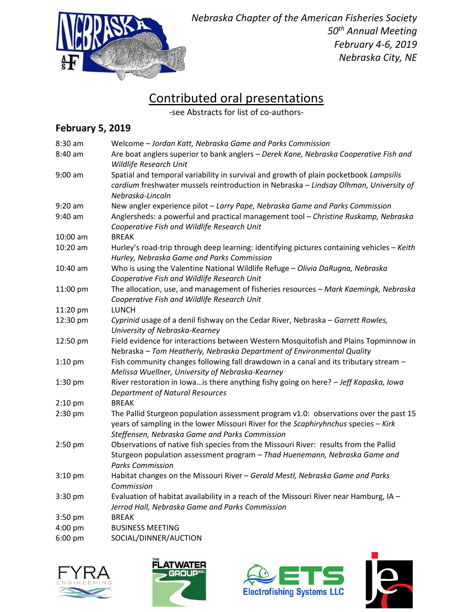

# Contributed oral presentations

-see Abstracts for list of co-authors-

#### **February 5, 2019**

| 8:30 am    | Welcome - Jordan Katt, Nebraska Game and Parks Commission                                                                                                                                                                      |
|------------|--------------------------------------------------------------------------------------------------------------------------------------------------------------------------------------------------------------------------------|
| 8:40 am    | Are boat anglers superior to bank anglers - Derek Kane, Nebraska Cooperative Fish and<br>Wildlife Research Unit                                                                                                                |
| $9:00$ am  | Spatial and temporal variability in survival and growth of plain pocketbook Lampsilis<br>cardium freshwater mussels reintroduction in Nebraska - Lindsay Olhman, University of<br>Nebraska-Lincoln                             |
| $9:20$ am  | New angler experience pilot - Larry Pape, Nebraska Game and Parks Commission                                                                                                                                                   |
| 9:40 am    | Anglersheds: a powerful and practical management tool - Christine Ruskamp, Nebraska<br>Cooperative Fish and Wildlife Research Unit                                                                                             |
| $10:00$ am | <b>BREAK</b>                                                                                                                                                                                                                   |
| 10:20 am   | Hurley's road-trip through deep learning: identifying pictures containing vehicles - Keith<br>Hurley, Nebraska Game and Parks Commission                                                                                       |
| 10:40 am   | Who is using the Valentine National Wildlife Refuge - Olivia DaRugna, Nebraska<br>Cooperative Fish and Wildlife Research Unit                                                                                                  |
| 11:00 pm   | The allocation, use, and management of fisheries resources - Mark Kaemingk, Nebraska<br>Cooperative Fish and Wildlife Research Unit                                                                                            |
| 11:20 pm   | <b>LUNCH</b>                                                                                                                                                                                                                   |
| 12:30 pm   | Cyprinid usage of a denil fishway on the Cedar River, Nebraska - Garrett Rowles,<br>University of Nebraska-Kearney                                                                                                             |
| 12:50 pm   | Field evidence for interactions between Western Mosquitofish and Plains Topminnow in<br>Nebraska - Tom Heatherly, Nebraska Department of Environmental Quality                                                                 |
| $1:10$ pm  | Fish community changes following fall drawdown in a canal and its tributary stream -<br>Melissa Wuellner, University of Nebraska-Kearney                                                                                       |
| 1:30 pm    | River restoration in lowais there anything fishy going on here? - Jeff Kopaska, lowa<br><b>Department of Natural Resources</b>                                                                                                 |
| $2:10$ pm  | <b>BREAK</b>                                                                                                                                                                                                                   |
| 2:30 pm    | The Pallid Sturgeon population assessment program v1.0: observations over the past 15<br>years of sampling in the lower Missouri River for the Scaphiryhnchus species - Kirk<br>Steffensen, Nebraska Game and Parks Commission |
| 2:50 pm    | Observations of native fish species from the Missouri River: results from the Pallid<br>Sturgeon population assessment program - Thad Huenemann, Nebraska Game and<br><b>Parks Commission</b>                                  |
| $3:10$ pm  | Habitat changes on the Missouri River - Gerald Mestl, Nebraska Game and Parks<br>Commission                                                                                                                                    |
| 3:30 pm    | Evaluation of habitat availability in a reach of the Missouri River near Hamburg, IA -<br>Jerrod Hall, Nebraska Game and Parks Commission                                                                                      |
| 3:50 pm    | <b>BREAK</b>                                                                                                                                                                                                                   |
| 4:00 pm    | <b>BUSINESS MEETING</b>                                                                                                                                                                                                        |
| 6:00 pm    | SOCIAL/DINNER/AUCTION                                                                                                                                                                                                          |